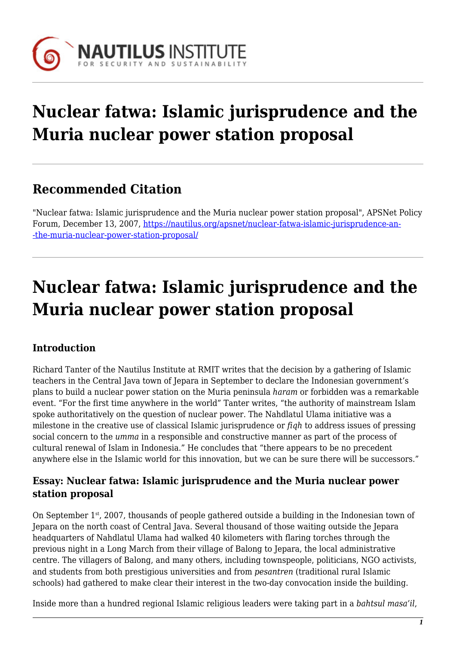

# **Nuclear fatwa: Islamic jurisprudence and the Muria nuclear power station proposal**

## **Recommended Citation**

"Nuclear fatwa: Islamic jurisprudence and the Muria nuclear power station proposal", APSNet Policy Forum, December 13, 2007, [https://nautilus.org/apsnet/nuclear-fatwa-islamic-jurisprudence-an-](https://nautilus.org/apsnet/nuclear-fatwa-islamic-jurisprudence-and-the-muria-nuclear-power-station-proposal/) [-the-muria-nuclear-power-station-proposal/](https://nautilus.org/apsnet/nuclear-fatwa-islamic-jurisprudence-and-the-muria-nuclear-power-station-proposal/)

# **Nuclear fatwa: Islamic jurisprudence and the Muria nuclear power station proposal**

## **Introduction**

Richard Tanter of the Nautilus Institute at RMIT writes that the decision by a gathering of Islamic teachers in the Central Java town of Jepara in September to declare the Indonesian government's plans to build a nuclear power station on the Muria peninsula *haram* or forbidden was a remarkable event. "For the first time anywhere in the world" Tanter writes, "the authority of mainstream Islam spoke authoritatively on the question of nuclear power. The Nahdlatul Ulama initiative was a milestone in the creative use of classical Islamic jurisprudence or *fiqh* to address issues of pressing social concern to the *umma* in a responsible and constructive manner as part of the process of cultural renewal of Islam in Indonesia." He concludes that "there appears to be no precedent anywhere else in the Islamic world for this innovation, but we can be sure there will be successors."

### **Essay: Nuclear fatwa: Islamic jurisprudence and the Muria nuclear power station proposal**

On September  $1<sup>st</sup>$ , 2007, thousands of people gathered outside a building in the Indonesian town of Jepara on the north coast of Central Java. Several thousand of those waiting outside the Jepara headquarters of Nahdlatul Ulama had walked 40 kilometers with flaring torches through the previous night in a Long March from their village of Balong to Jepara, the local administrative centre. The villagers of Balong, and many others, including townspeople, politicians, NGO activists, and students from both prestigious universities and from *pesantren* (traditional rural Islamic schools) had gathered to make clear their interest in the two-day convocation inside the building.

Inside more than a hundred regional Islamic religious leaders were taking part in a *bahtsul masa'il*,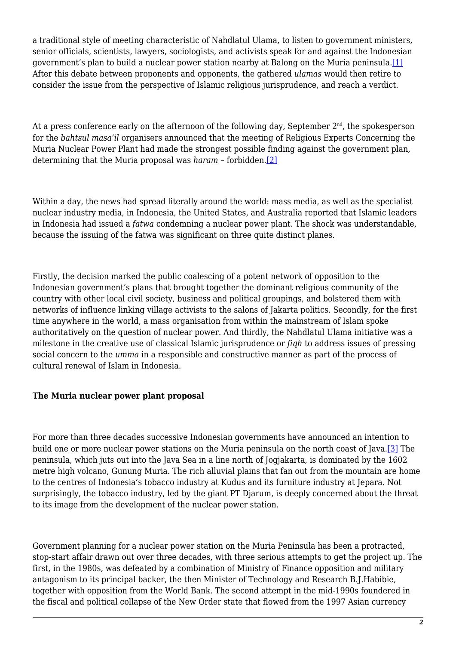<span id="page-1-0"></span>a traditional style of meeting characteristic of Nahdlatul Ulama, to listen to government ministers, senior officials, scientists, lawyers, sociologists, and activists speak for and against the Indonesian government's plan to build a nuclear power station nearby at Balong on the Muria peninsula[.\[1\]](#page-15-0) After this debate between proponents and opponents, the gathered *ulamas* would then retire to consider the issue from the perspective of Islamic religious jurisprudence, and reach a verdict.

<span id="page-1-1"></span>At a press conference early on the afternoon of the following day, September  $2<sup>nd</sup>$ , the spokesperson for the *bahtsul masa'il* organisers announced that the meeting of Religious Experts Concerning the Muria Nuclear Power Plant had made the strongest possible finding against the government plan, determining that the Muria proposal was *haram* – forbidden[.\[2\]](#page-15-1)

Within a day, the news had spread literally around the world: mass media, as well as the specialist nuclear industry media, in Indonesia, the United States, and Australia reported that Islamic leaders in Indonesia had issued a *fatwa* condemning a nuclear power plant. The shock was understandable, because the issuing of the fatwa was significant on three quite distinct planes.

Firstly, the decision marked the public coalescing of a potent network of opposition to the Indonesian government's plans that brought together the dominant religious community of the country with other local civil society, business and political groupings, and bolstered them with networks of influence linking village activists to the salons of Jakarta politics. Secondly, for the first time anywhere in the world, a mass organisation from within the mainstream of Islam spoke authoritatively on the question of nuclear power. And thirdly, the Nahdlatul Ulama initiative was a milestone in the creative use of classical Islamic jurisprudence or *fiqh* to address issues of pressing social concern to the *umma* in a responsible and constructive manner as part of the process of cultural renewal of Islam in Indonesia.

#### **The Muria nuclear power plant proposal**

<span id="page-1-2"></span>For more than three decades successive Indonesian governments have announced an intention to build one or more nuclear power stations on the Muria peninsula on the north coast of Java.[\[3\]](#page-15-2) The peninsula, which juts out into the Java Sea in a line north of Jogjakarta, is dominated by the 1602 metre high volcano, Gunung Muria. The rich alluvial plains that fan out from the mountain are home to the centres of Indonesia's tobacco industry at Kudus and its furniture industry at Jepara. Not surprisingly, the tobacco industry, led by the giant PT Djarum, is deeply concerned about the threat to its image from the development of the nuclear power station.

Government planning for a nuclear power station on the Muria Peninsula has been a protracted, stop-start affair drawn out over three decades, with three serious attempts to get the project up. The first, in the 1980s, was defeated by a combination of Ministry of Finance opposition and military antagonism to its principal backer, the then Minister of Technology and Research B.J.Habibie, together with opposition from the World Bank. The second attempt in the mid-1990s foundered in the fiscal and political collapse of the New Order state that flowed from the 1997 Asian currency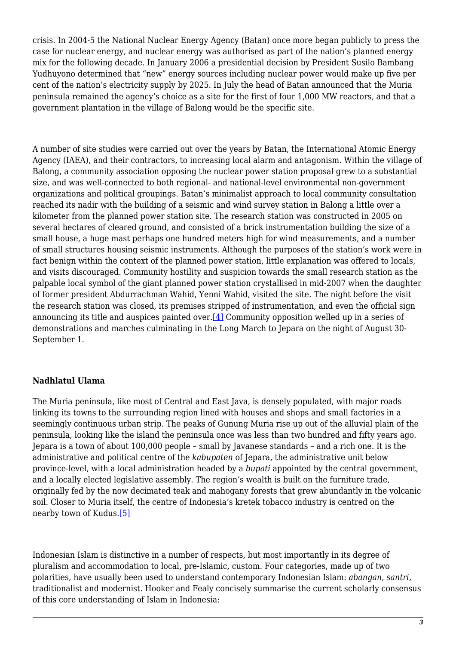crisis. In 2004-5 the National Nuclear Energy Agency (Batan) once more began publicly to press the case for nuclear energy, and nuclear energy was authorised as part of the nation's planned energy mix for the following decade. In January 2006 a presidential decision by President Susilo Bambang Yudhuyono determined that "new" energy sources including nuclear power would make up five per cent of the nation's electricity supply by 2025. In July the head of Batan announced that the Muria peninsula remained the agency's choice as a site for the first of four 1,000 MW reactors, and that a government plantation in the village of Balong would be the specific site.

A number of site studies were carried out over the years by Batan, the International Atomic Energy Agency (IAEA), and their contractors, to increasing local alarm and antagonism. Within the village of Balong, a community association opposing the nuclear power station proposal grew to a substantial size, and was well-connected to both regional- and national-level environmental non-government organizations and political groupings. Batan's minimalist approach to local community consultation reached its nadir with the building of a seismic and wind survey station in Balong a little over a kilometer from the planned power station site. The research station was constructed in 2005 on several hectares of cleared ground, and consisted of a brick instrumentation building the size of a small house, a huge mast perhaps one hundred meters high for wind measurements, and a number of small structures housing seismic instruments. Although the purposes of the station's work were in fact benign within the context of the planned power station, little explanation was offered to locals, and visits discouraged. Community hostility and suspicion towards the small research station as the palpable local symbol of the giant planned power station crystallised in mid-2007 when the daughter of former president Abdurrachman Wahid, Yenni Wahid, visited the site. The night before the visit the research station was closed, its premises stripped of instrumentation, and even the official sign announcing its title and auspices painted over.[\[4\]](#page-15-3) Community opposition welled up in a series of demonstrations and marches culminating in the Long March to Jepara on the night of August 30- September 1.

#### <span id="page-2-0"></span>**Nadhlatul Ulama**

The Muria peninsula, like most of Central and East Java, is densely populated, with major roads linking its towns to the surrounding region lined with houses and shops and small factories in a seemingly continuous urban strip. The peaks of Gunung Muria rise up out of the alluvial plain of the peninsula, looking like the island the peninsula once was less than two hundred and fifty years ago. Jepara is a town of about 100,000 people – small by Javanese standards – and a rich one. It is the administrative and political centre of the *kabupaten* of Jepara, the administrative unit below province-level, with a local administration headed by a *bupati* appointed by the central government, and a locally elected legislative assembly*.* The region's wealth is built on the furniture trade, originally fed by the now decimated teak and mahogany forests that grew abundantly in the volcanic soil. Closer to Muria itself, the centre of Indonesia's kretek tobacco industry is centred on the nearby town of Kudus.[\[5\]](#page-15-4)

<span id="page-2-1"></span>Indonesian Islam is distinctive in a number of respects, but most importantly in its degree of pluralism and accommodation to local, pre-Islamic, custom. Four categories, made up of two polarities, have usually been used to understand contemporary Indonesian Islam: *abangan*, *santri*, traditionalist and modernist. Hooker and Fealy concisely summarise the current scholarly consensus of this core understanding of Islam in Indonesia: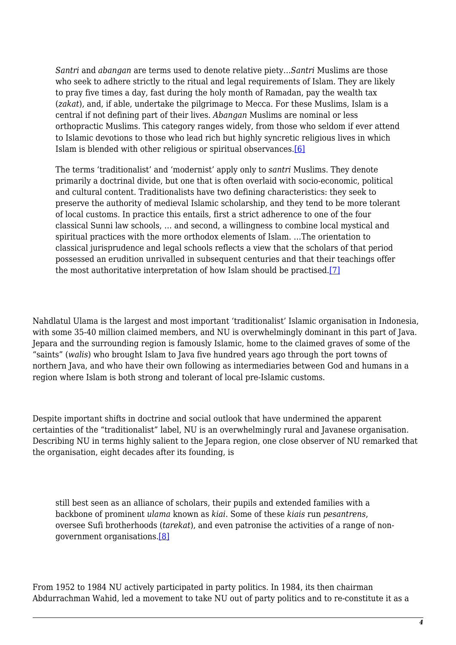*Santri* and *abangan* are terms used to denote relative piety…*Santri* Muslims are those who seek to adhere strictly to the ritual and legal requirements of Islam. They are likely to pray five times a day, fast during the holy month of Ramadan, pay the wealth tax (*zakat*), and, if able, undertake the pilgrimage to Mecca. For these Muslims, Islam is a central if not defining part of their lives. *Abangan* Muslims are nominal or less orthopractic Muslims. This category ranges widely, from those who seldom if ever attend to Islamic devotions to those who lead rich but highly syncretic religious lives in which Islam is blended with other religious or spiritual observances[.\[6\]](#page-16-0)

<span id="page-3-0"></span>The terms 'traditionalist' and 'modernist' apply only to *santri* Muslims. They denote primarily a doctrinal divide, but one that is often overlaid with socio-economic, political and cultural content. Traditionalists have two defining characteristics: they seek to preserve the authority of medieval Islamic scholarship, and they tend to be more tolerant of local customs. In practice this entails, first a strict adherence to one of the four classical Sunni law schools, … and second, a willingness to combine local mystical and spiritual practices with the more orthodox elements of Islam. …The orientation to classical jurisprudence and legal schools reflects a view that the scholars of that period possessed an erudition unrivalled in subsequent centuries and that their teachings offer the most authoritative interpretation of how Islam should be practised[.\[7\]](#page-16-1)

<span id="page-3-1"></span>Nahdlatul Ulama is the largest and most important 'traditionalist' Islamic organisation in Indonesia, with some 35-40 million claimed members, and NU is overwhelmingly dominant in this part of Java. Jepara and the surrounding region is famously Islamic, home to the claimed graves of some of the "saints" (*walis*) who brought Islam to Java five hundred years ago through the port towns of northern Java, and who have their own following as intermediaries between God and humans in a region where Islam is both strong and tolerant of local pre-Islamic customs.

Despite important shifts in doctrine and social outlook that have undermined the apparent certainties of the "traditionalist" label, NU is an overwhelmingly rural and Javanese organisation. Describing NU in terms highly salient to the Jepara region, one close observer of NU remarked that the organisation, eight decades after its founding, is

still best seen as an alliance of scholars, their pupils and extended families with a backbone of prominent *ulama* known as *kiai*. Some of these *kiais* run *pesantrens*, oversee Sufi brotherhoods (*tarekat*), and even patronise the activities of a range of nongovernment organisations[.\[8\]](#page-16-2)

<span id="page-3-2"></span>From 1952 to 1984 NU actively participated in party politics. In 1984, its then chairman Abdurrachman Wahid, led a movement to take NU out of party politics and to re-constitute it as a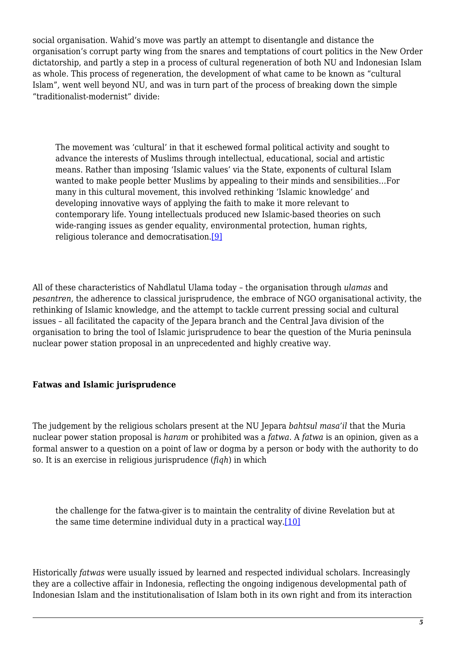social organisation. Wahid's move was partly an attempt to disentangle and distance the organisation's corrupt party wing from the snares and temptations of court politics in the New Order dictatorship, and partly a step in a process of cultural regeneration of both NU and Indonesian Islam as whole. This process of regeneration, the development of what came to be known as "cultural Islam", went well beyond NU, and was in turn part of the process of breaking down the simple "traditionalist-modernist" divide:

The movement was 'cultural' in that it eschewed formal political activity and sought to advance the interests of Muslims through intellectual, educational, social and artistic means. Rather than imposing 'Islamic values' via the State, exponents of cultural Islam wanted to make people better Muslims by appealing to their minds and sensibilities…For many in this cultural movement, this involved rethinking 'Islamic knowledge' and developing innovative ways of applying the faith to make it more relevant to contemporary life. Young intellectuals produced new Islamic-based theories on such wide-ranging issues as gender equality, environmental protection, human rights, religious tolerance and democratisation[.\[9\]](#page-16-3)

<span id="page-4-0"></span>All of these characteristics of Nahdlatul Ulama today – the organisation through *ulamas* and *pesantren*, the adherence to classical jurisprudence, the embrace of NGO organisational activity, the rethinking of Islamic knowledge, and the attempt to tackle current pressing social and cultural issues – all facilitated the capacity of the Jepara branch and the Central Java division of the organisation to bring the tool of Islamic jurisprudence to bear the question of the Muria peninsula nuclear power station proposal in an unprecedented and highly creative way.

#### **Fatwas and Islamic jurisprudence**

The judgement by the religious scholars present at the NU Jepara *bahtsul masa'il* that the Muria nuclear power station proposal is *haram* or prohibited was a *fatwa*. A *fatwa* is an opinion, given as a formal answer to a question on a point of law or dogma by a person or body with the authority to do so. It is an exercise in religious jurisprudence (*fiqh*) in which

<span id="page-4-1"></span>the challenge for the fatwa-giver is to maintain the centrality of divine Revelation but at the same time determine individual duty in a practical way.[\[10\]](#page-16-4)

<span id="page-4-2"></span>Historically *fatwas* were usually issued by learned and respected individual scholars. Increasingly they are a collective affair in Indonesia, reflecting the ongoing indigenous developmental path of Indonesian Islam and the institutionalisation of Islam both in its own right and from its interaction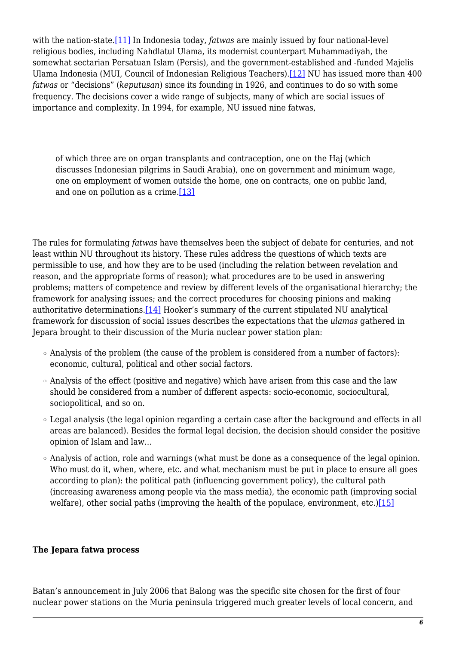<span id="page-5-0"></span>with the nation-state[.\[11\]](#page-16-5) In Indonesia today, *fatwas* are mainly issued by four national-level religious bodies, including Nahdlatul Ulama, its modernist counterpart Muhammadiyah, the somewhat sectarian Persatuan Islam (Persis), and the government-established and -funded Majelis Ulama Indonesia (MUI, Council of Indonesian Religious Teachers)[.\[12\]](#page-16-6) NU has issued more than 400 *fatwas* or "decisions" (*keputusan*) since its founding in 1926, and continues to do so with some frequency. The decisions cover a wide range of subjects, many of which are social issues of importance and complexity. In 1994, for example, NU issued nine fatwas,

of which three are on organ transplants and contraception, one on the Haj (which discusses Indonesian pilgrims in Saudi Arabia), one on government and minimum wage, one on employment of women outside the home, one on contracts, one on public land, and one on pollution as a crime.[\[13\]](#page-16-7)

<span id="page-5-1"></span>The rules for formulating *fatwas* have themselves been the subject of debate for centuries, and not least within NU throughout its history. These rules address the questions of which texts are permissible to use, and how they are to be used (including the relation between revelation and reason, and the appropriate forms of reason); what procedures are to be used in answering problems; matters of competence and review by different levels of the organisational hierarchy; the framework for analysing issues; and the correct procedures for choosing pinions and making authoritative determinations.[\[14\]](#page-16-8) Hooker's summary of the current stipulated NU analytical framework for discussion of social issues describes the expectations that the *ulamas* gathered in Jepara brought to their discussion of the Muria nuclear power station plan:

- <span id="page-5-2"></span>❍ Analysis of the problem (the cause of the problem is considered from a number of factors): economic, cultural, political and other social factors.
- ❍ Analysis of the effect (positive and negative) which have arisen from this case and the law should be considered from a number of different aspects: socio-economic, sociocultural, sociopolitical, and so on.
- ❍ Legal analysis (the legal opinion regarding a certain case after the background and effects in all areas are balanced). Besides the formal legal decision, the decision should consider the positive opinion of Islam and law…
- ❍ Analysis of action, role and warnings (what must be done as a consequence of the legal opinion. Who must do it, when, where, etc. and what mechanism must be put in place to ensure all goes according to plan): the political path (influencing government policy), the cultural path (increasing awareness among people via the mass media), the economic path (improving social welfare), other social paths (improving the health of the populace, environment, etc.) $[15]$

#### <span id="page-5-3"></span>**The Jepara fatwa process**

Batan's announcement in July 2006 that Balong was the specific site chosen for the first of four nuclear power stations on the Muria peninsula triggered much greater levels of local concern, and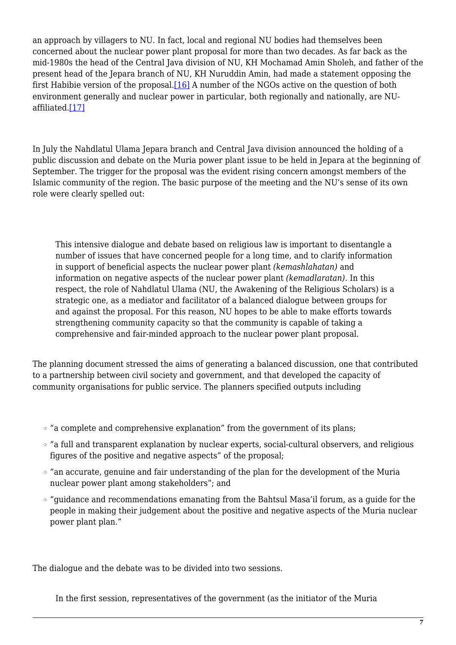<span id="page-6-0"></span>an approach by villagers to NU. In fact, local and regional NU bodies had themselves been concerned about the nuclear power plant proposal for more than two decades. As far back as the mid-1980s the head of the Central Java division of NU, KH Mochamad Amin Sholeh, and father of the present head of the Jepara branch of NU, KH Nuruddin Amin, had made a statement opposing the first Habibie version of the proposal[.\[16\]](#page-16-10) A number of the NGOs active on the question of both environment generally and nuclear power in particular, both regionally and nationally, are NUaffiliated[.\[17\]](#page-16-11)

<span id="page-6-1"></span>In July the Nahdlatul Ulama Jepara branch and Central Java division announced the holding of a public discussion and debate on the Muria power plant issue to be held in Jepara at the beginning of September. The trigger for the proposal was the evident rising concern amongst members of the Islamic community of the region. The basic purpose of the meeting and the NU's sense of its own role were clearly spelled out:

This intensive dialogue and debate based on religious law is important to disentangle a number of issues that have concerned people for a long time, and to clarify information in support of beneficial aspects the nuclear power plant *(kemashlahatan)* and information on negative aspects of the nuclear power plant *(kemadlaratan)*. In this respect, the role of Nahdlatul Ulama (NU, the Awakening of the Religious Scholars) is a strategic one, as a mediator and facilitator of a balanced dialogue between groups for and against the proposal. For this reason, NU hopes to be able to make efforts towards strengthening community capacity so that the community is capable of taking a comprehensive and fair-minded approach to the nuclear power plant proposal.

The planning document stressed the aims of generating a balanced discussion, one that contributed to a partnership between civil society and government, and that developed the capacity of community organisations for public service. The planners specified outputs including

- ❍ "a complete and comprehensive explanation" from the government of its plans;
- ❍ "a full and transparent explanation by nuclear experts, social-cultural observers, and religious figures of the positive and negative aspects" of the proposal;
- ❍ "an accurate, genuine and fair understanding of the plan for the development of the Muria nuclear power plant among stakeholders"; and
- ❍ "guidance and recommendations emanating from the Bahtsul Masa'il forum, as a guide for the people in making their judgement about the positive and negative aspects of the Muria nuclear power plant plan."

The dialogue and the debate was to be divided into two sessions.

In the first session, representatives of the government (as the initiator of the Muria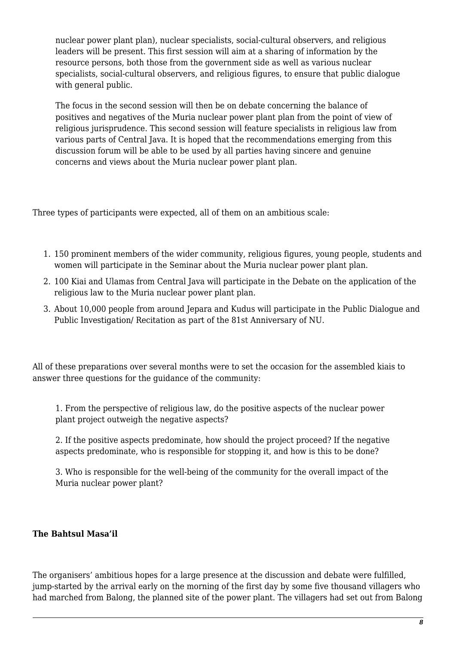nuclear power plant plan), nuclear specialists, social-cultural observers, and religious leaders will be present. This first session will aim at a sharing of information by the resource persons, both those from the government side as well as various nuclear specialists, social-cultural observers, and religious figures, to ensure that public dialogue with general public.

The focus in the second session will then be on debate concerning the balance of positives and negatives of the Muria nuclear power plant plan from the point of view of religious jurisprudence. This second session will feature specialists in religious law from various parts of Central Java. It is hoped that the recommendations emerging from this discussion forum will be able to be used by all parties having sincere and genuine concerns and views about the Muria nuclear power plant plan.

Three types of participants were expected, all of them on an ambitious scale:

- 1. 150 prominent members of the wider community, religious figures, young people, students and women will participate in the Seminar about the Muria nuclear power plant plan.
- 2. 100 Kiai and Ulamas from Central Java will participate in the Debate on the application of the religious law to the Muria nuclear power plant plan.
- 3. About 10,000 people from around Jepara and Kudus will participate in the Public Dialogue and Public Investigation/ Recitation as part of the 81st Anniversary of NU.

All of these preparations over several months were to set the occasion for the assembled kiais to answer three questions for the guidance of the community:

1. From the perspective of religious law, do the positive aspects of the nuclear power plant project outweigh the negative aspects?

2. If the positive aspects predominate, how should the project proceed? If the negative aspects predominate, who is responsible for stopping it, and how is this to be done?

3. Who is responsible for the well-being of the community for the overall impact of the Muria nuclear power plant?

#### **The Bahtsul Masa'il**

The organisers' ambitious hopes for a large presence at the discussion and debate were fulfilled, jump-started by the arrival early on the morning of the first day by some five thousand villagers who had marched from Balong, the planned site of the power plant. The villagers had set out from Balong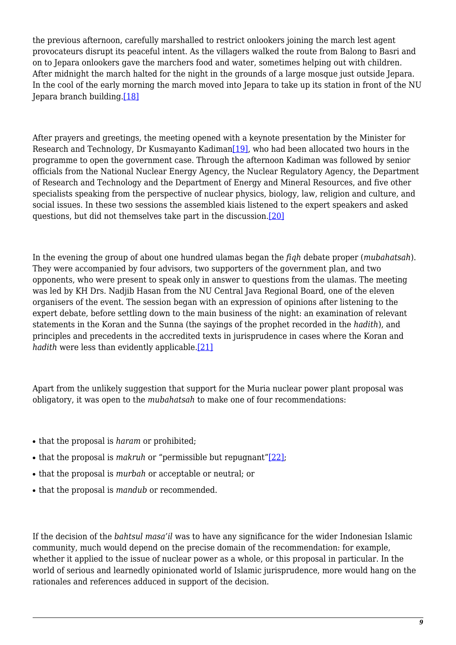the previous afternoon, carefully marshalled to restrict onlookers joining the march lest agent provocateurs disrupt its peaceful intent. As the villagers walked the route from Balong to Basri and on to Jepara onlookers gave the marchers food and water, sometimes helping out with children. After midnight the march halted for the night in the grounds of a large mosque just outside Jepara. In the cool of the early morning the march moved into Jepara to take up its station in front of the NU Jepara branch building[.\[18\]](#page-16-12)

<span id="page-8-1"></span><span id="page-8-0"></span>After prayers and greetings, the meeting opened with a keynote presentation by the Minister for Research and Technology, Dr Kusmayanto Kadiman[\[19\],](#page-16-13) who had been allocated two hours in the programme to open the government case. Through the afternoon Kadiman was followed by senior officials from the National Nuclear Energy Agency, the Nuclear Regulatory Agency, the Department of Research and Technology and the Department of Energy and Mineral Resources, and five other specialists speaking from the perspective of nuclear physics, biology, law, religion and culture, and social issues. In these two sessions the assembled kiais listened to the expert speakers and asked questions, but did not themselves take part in the discussion.[\[20\]](#page-17-0)

<span id="page-8-2"></span>In the evening the group of about one hundred ulamas began the *fiqh* debate proper (*mubahatsah*). They were accompanied by four advisors, two supporters of the government plan, and two opponents, who were present to speak only in answer to questions from the ulamas. The meeting was led by KH Drs. Nadjib Hasan from the NU Central Java Regional Board, one of the eleven organisers of the event. The session began with an expression of opinions after listening to the expert debate, before settling down to the main business of the night: an examination of relevant statements in the Koran and the Sunna (the sayings of the prophet recorded in the *hadith*), and principles and precedents in the accredited texts in jurisprudence in cases where the Koran and *hadith* were less than evidently applicable.<sup>[\[21\]](#page-17-1)</sup>

<span id="page-8-3"></span>Apart from the unlikely suggestion that support for the Muria nuclear power plant proposal was obligatory, it was open to the *mubahatsah* to make one of four recommendations:

- that the proposal is *haram* or prohibited;
- <span id="page-8-4"></span>• that the proposal is *makruh* or "permissible but repugnant"[22]:
- that the proposal is *murbah* or acceptable or neutral; or
- that the proposal is *mandub* or recommended.

If the decision of the *bahtsul masa'il* was to have any significance for the wider Indonesian Islamic community, much would depend on the precise domain of the recommendation: for example, whether it applied to the issue of nuclear power as a whole, or this proposal in particular. In the world of serious and learnedly opinionated world of Islamic jurisprudence, more would hang on the rationales and references adduced in support of the decision.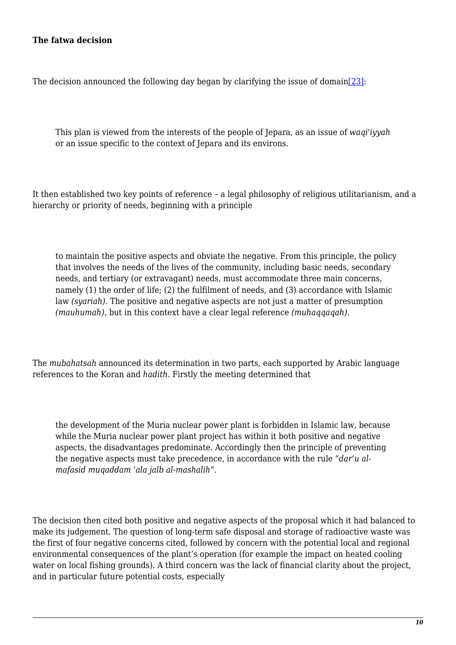#### **The fatwa decision**

<span id="page-9-0"></span>The decision announced the following day began by clarifying the issue of domain[\[23\]](#page-17-3):

This plan is viewed from the interests of the people of Jepara, as an issue of *waqi'iyyah* or an issue specific to the context of Jepara and its environs.

It then established two key points of reference – a legal philosophy of religious utilitarianism, and a hierarchy or priority of needs, beginning with a principle

to maintain the positive aspects and obviate the negative. From this principle, the policy that involves the needs of the lives of the community, including basic needs, secondary needs, and tertiary (or extravagant) needs, must accommodate three main concerns, namely (1) the order of life; (2) the fulfilment of needs, and (3) accordance with Islamic law *(syariah).* The positive and negative aspects are not just a matter of presumption *(mauhumah),* but in this context have a clear legal reference *(muhaqqaqah).*

The *mubahatsah* announced its determination in two parts, each supported by Arabic language references to the Koran and *hadith*. Firstly the meeting determined that

the development of the Muria nuclear power plant is forbidden in Islamic law, because while the Muria nuclear power plant project has within it both positive and negative aspects, the disadvantages predominate. Accordingly then the principle of preventing the negative aspects must take precedence, in accordance with the rule "*dar'u almafasid muqaddam 'ala jalb al-mashalih*".

The decision then cited both positive and negative aspects of the proposal which it had balanced to make its judgement. The question of long-term safe disposal and storage of radioactive waste was the first of four negative concerns cited, followed by concern with the potential local and regional environmental consequences of the plant's operation (for example the impact on heated cooling water on local fishing grounds). A third concern was the lack of financial clarity about the project, and in particular future potential costs, especially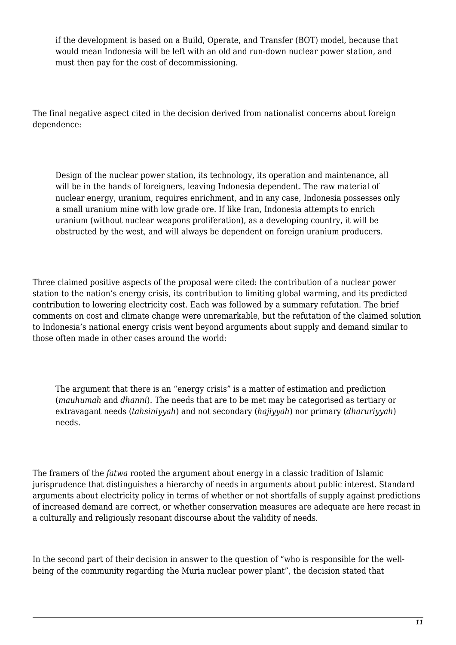if the development is based on a Build, Operate, and Transfer (BOT) model, because that would mean Indonesia will be left with an old and run-down nuclear power station, and must then pay for the cost of decommissioning.

The final negative aspect cited in the decision derived from nationalist concerns about foreign dependence:

Design of the nuclear power station, its technology, its operation and maintenance, all will be in the hands of foreigners, leaving Indonesia dependent. The raw material of nuclear energy, uranium, requires enrichment, and in any case, Indonesia possesses only a small uranium mine with low grade ore. If like Iran, Indonesia attempts to enrich uranium (without nuclear weapons proliferation), as a developing country, it will be obstructed by the west, and will always be dependent on foreign uranium producers.

Three claimed positive aspects of the proposal were cited: the contribution of a nuclear power station to the nation's energy crisis, its contribution to limiting global warming, and its predicted contribution to lowering electricity cost. Each was followed by a summary refutation. The brief comments on cost and climate change were unremarkable, but the refutation of the claimed solution to Indonesia's national energy crisis went beyond arguments about supply and demand similar to those often made in other cases around the world:

The argument that there is an "energy crisis" is a matter of estimation and prediction (*mauhumah* and *dhanni*). The needs that are to be met may be categorised as tertiary or extravagant needs (*tahsiniyyah*) and not secondary (*hajiyyah*) nor primary (*dharuriyyah*) needs.

The framers of the *fatwa* rooted the argument about energy in a classic tradition of Islamic jurisprudence that distinguishes a hierarchy of needs in arguments about public interest. Standard arguments about electricity policy in terms of whether or not shortfalls of supply against predictions of increased demand are correct, or whether conservation measures are adequate are here recast in a culturally and religiously resonant discourse about the validity of needs.

In the second part of their decision in answer to the question of "who is responsible for the wellbeing of the community regarding the Muria nuclear power plant", the decision stated that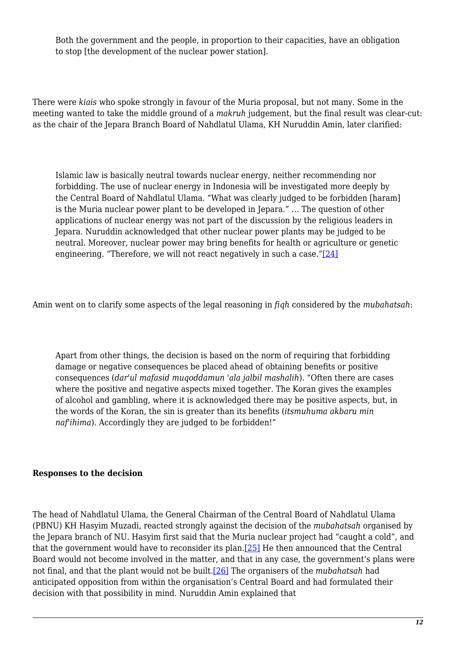Both the government and the people, in proportion to their capacities, have an obligation to stop [the development of the nuclear power station].

There were *kiais* who spoke strongly in favour of the Muria proposal, but not many. Some in the meeting wanted to take the middle ground of a *makruh* judgement, but the final result was clear-cut: as the chair of the Jepara Branch Board of Nahdlatul Ulama, KH Nuruddin Amin, later clarified:

Islamic law is basically neutral towards nuclear energy, neither recommending nor forbidding. The use of nuclear energy in Indonesia will be investigated more deeply by the Central Board of Nahdlatul Ulama. "What was clearly judged to be forbidden [haram] is the Muria nuclear power plant to be developed in Jepara." … The question of other applications of nuclear energy was not part of the discussion by the religious leaders in Jepara. Nuruddin acknowledged that other nuclear power plants may be judged to be neutral. Moreover, nuclear power may bring benefits for health or agriculture or genetic engineering. "Therefore, we will not react negatively in such a case." $[24]$ 

<span id="page-11-0"></span>Amin went on to clarify some aspects of the legal reasoning in *fiqh* considered by the *mubahatsah*:

Apart from other things, the decision is based on the norm of requiring that forbidding damage or negative consequences be placed ahead of obtaining benefits or positive consequences (*dar'ul mafasid muqoddamun 'ala jalbil mashalih*). "Often there are cases where the positive and negative aspects mixed together. The Koran gives the examples of alcohol and gambling, where it is acknowledged there may be positive aspects, but, in the words of the Koran, the sin is greater than its benefits (*itsmuhuma akbaru min naf'ihima*). Accordingly they are judged to be forbidden!"

#### **Responses to the decision**

<span id="page-11-2"></span><span id="page-11-1"></span>The head of Nahdlatul Ulama, the General Chairman of the Central Board of Nahdlatul Ulama (PBNU) KH Hasyim Muzadi, reacted strongly against the decision of the *mubahatsah* organised by the Jepara branch of NU. Hasyim first said that the Muria nuclear project had "caught a cold", and that the government would have to reconsider its plan[.\[25\]](#page-17-5) He then announced that the Central Board would not become involved in the matter, and that in any case, the government's plans were not final, and that the plant would not be built[.\[26\]](#page-17-6) The organisers of the *mubahatsah* had anticipated opposition from within the organisation's Central Board and had formulated their decision with that possibility in mind. Nuruddin Amin explained that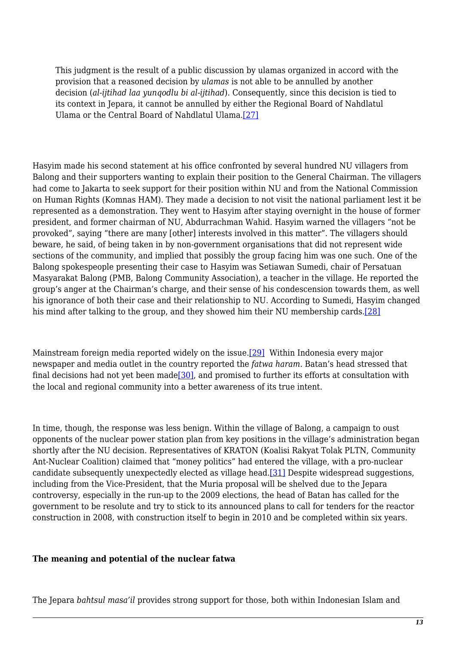This judgment is the result of a public discussion by ulamas organized in accord with the provision that a reasoned decision by *ulamas* is not able to be annulled by another decision (*al-ijtihad laa yunqodlu bi al-ijtihad*). Consequently, since this decision is tied to its context in Jepara, it cannot be annulled by either the Regional Board of Nahdlatul Ulama or the Central Board of Nahdlatul Ulama[.\[27\]](#page-17-7)

<span id="page-12-0"></span>Hasyim made his second statement at his office confronted by several hundred NU villagers from Balong and their supporters wanting to explain their position to the General Chairman. The villagers had come to Jakarta to seek support for their position within NU and from the National Commission on Human Rights (Komnas HAM). They made a decision to not visit the national parliament lest it be represented as a demonstration. They went to Hasyim after staying overnight in the house of former president, and former chairman of NU, Abdurrachman Wahid. Hasyim warned the villagers "not be provoked", saying "there are many [other] interests involved in this matter". The villagers should beware, he said, of being taken in by non-government organisations that did not represent wide sections of the community, and implied that possibly the group facing him was one such. One of the Balong spokespeople presenting their case to Hasyim was Setiawan Sumedi, chair of Persatuan Masyarakat Balong (PMB, Balong Community Association), a teacher in the village. He reported the group's anger at the Chairman's charge, and their sense of his condescension towards them, as well his ignorance of both their case and their relationship to NU. According to Sumedi, Hasyim changed his mind after talking to the group, and they showed him their NU membership cards[.\[28\]](#page-17-8)

<span id="page-12-3"></span><span id="page-12-2"></span><span id="page-12-1"></span>Mainstream foreign media reported widely on the issue[.\[29\]](#page-17-9) Within Indonesia every major newspaper and media outlet in the country reported the *fatwa haram*. Batan's head stressed that final decisions had not yet been mad[e\[30\],](#page-17-10) and promised to further its efforts at consultation with the local and regional community into a better awareness of its true intent.

<span id="page-12-4"></span>In time, though, the response was less benign. Within the village of Balong, a campaign to oust opponents of the nuclear power station plan from key positions in the village's administration began shortly after the NU decision. Representatives of KRATON (Koalisi Rakyat Tolak PLTN, Community Ant-Nuclear Coalition) claimed that "money politics" had entered the village, with a pro-nuclear candidate subsequently unexpectedly elected as village head[.\[31\]](#page-17-11) Despite widespread suggestions, including from the Vice-President, that the Muria proposal will be shelved due to the Jepara controversy, especially in the run-up to the 2009 elections, the head of Batan has called for the government to be resolute and try to stick to its announced plans to call for tenders for the reactor construction in 2008, with construction itself to begin in 2010 and be completed within six years.

#### **The meaning and potential of the nuclear fatwa**

The Jepara *bahtsul masa'il* provides strong support for those, both within Indonesian Islam and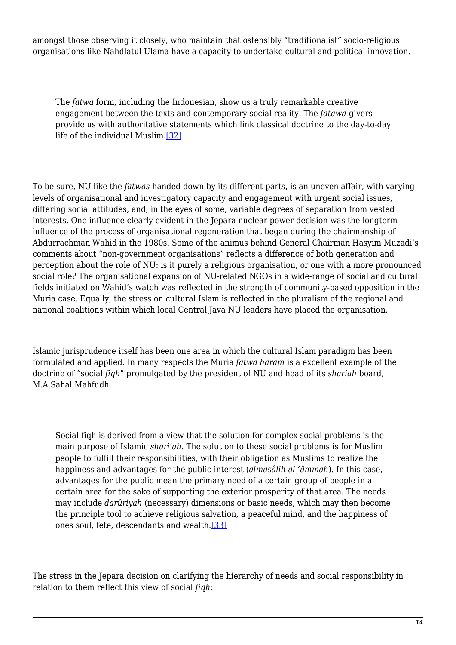amongst those observing it closely, who maintain that ostensibly "traditionalist" socio-religious organisations like Nahdlatul Ulama have a capacity to undertake cultural and political innovation.

The *fatwa* form, including the Indonesian, show us a truly remarkable creative engagement between the texts and contemporary social reality. The *fatawa*-givers provide us with authoritative statements which link classical doctrine to the day-to-day life of the individual Muslim.[\[32\]](#page-17-12)

<span id="page-13-0"></span>To be sure, NU like the *fatwas* handed down by its different parts, is an uneven affair, with varying levels of organisational and investigatory capacity and engagement with urgent social issues, differing social attitudes, and, in the eyes of some, variable degrees of separation from vested interests. One influence clearly evident in the Jepara nuclear power decision was the longterm influence of the process of organisational regeneration that began during the chairmanship of Abdurrachman Wahid in the 1980s. Some of the animus behind General Chairman Hasyim Muzadi's comments about "non-government organisations" reflects a difference of both generation and perception about the role of NU: is it purely a religious organisation, or one with a more pronounced social role? The organisational expansion of NU-related NGOs in a wide-range of social and cultural fields initiated on Wahid's watch was reflected in the strength of community-based opposition in the Muria case. Equally, the stress on cultural Islam is reflected in the pluralism of the regional and national coalitions within which local Central Java NU leaders have placed the organisation.

Islamic jurisprudence itself has been one area in which the cultural Islam paradigm has been formulated and applied. In many respects the Muria *fatwa haram* is a excellent example of the doctrine of "social *fiqh*" promulgated by the president of NU and head of its *shariah* board, M.A.Sahal Mahfudh.

Social fiqh is derived from a view that the solution for complex social problems is the main purpose of Islamic *shari'ah*. The solution to these social problems is for Muslim people to fulfill their responsibilities, with their obligation as Muslims to realize the happiness and advantages for the public interest (*almasâlih al-'âmmah*). In this case, advantages for the public mean the primary need of a certain group of people in a certain area for the sake of supporting the exterior prosperity of that area. The needs may include *darûriyah* (necessary) dimensions or basic needs, which may then become the principle tool to achieve religious salvation, a peaceful mind, and the happiness of ones soul, fete, descendants and wealth.[\[33\]](#page-17-13)

<span id="page-13-1"></span>The stress in the Jepara decision on clarifying the hierarchy of needs and social responsibility in relation to them reflect this view of social *fiqh*: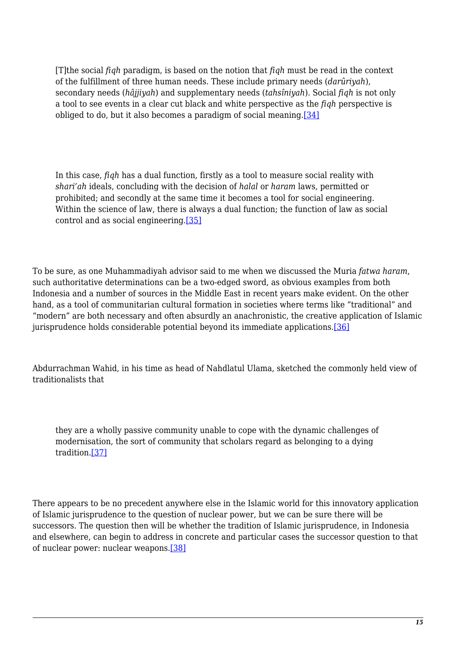<span id="page-14-0"></span>[T]the social *fiqh* paradigm, is based on the notion that *fiqh* must be read in the context of the fulfillment of three human needs. These include primary needs (*darûriyah*), secondary needs (*hâjjiyah*) and supplementary needs (*tahsîniyah*). Social *fiqh* is not only a tool to see events in a clear cut black and white perspective as the *fiqh* perspective is obliged to do, but it also becomes a paradigm of social meaning.[\[34\]](#page-17-14)

In this case, *fiqh* has a dual function, firstly as a tool to measure social reality with *shari'ah* ideals, concluding with the decision of *halal* or *haram* laws, permitted or prohibited; and secondly at the same time it becomes a tool for social engineering. Within the science of law, there is always a dual function; the function of law as social control and as social engineering.[\[35\]](#page-17-15)

<span id="page-14-1"></span>To be sure, as one Muhammadiyah advisor said to me when we discussed the Muria *fatwa haram*, such authoritative determinations can be a two-edged sword, as obvious examples from both Indonesia and a number of sources in the Middle East in recent years make evident. On the other hand, as a tool of communitarian cultural formation in societies where terms like "traditional" and "modern" are both necessary and often absurdly an anachronistic, the creative application of Islamic jurisprudence holds considerable potential beyond its immediate applications[.\[36\]](#page-17-16)

<span id="page-14-2"></span>Abdurrachman Wahid, in his time as head of Nahdlatul Ulama, sketched the commonly held view of traditionalists that

<span id="page-14-3"></span>they are a wholly passive community unable to cope with the dynamic challenges of modernisation, the sort of community that scholars regard as belonging to a dying tradition[.\[37\]](#page-18-0)

<span id="page-14-4"></span>There appears to be no precedent anywhere else in the Islamic world for this innovatory application of Islamic jurisprudence to the question of nuclear power, but we can be sure there will be successors. The question then will be whether the tradition of Islamic jurisprudence, in Indonesia and elsewhere, can begin to address in concrete and particular cases the successor question to that of nuclear power: nuclear weapons[.\[38\]](#page-18-1)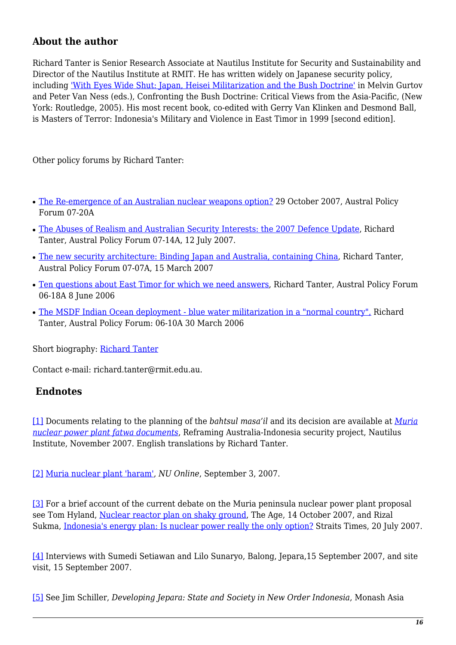## **About the author**

Richard Tanter is Senior Research Associate at Nautilus Institute for Security and Sustainability and Director of the Nautilus Institute at RMIT. He has written widely on Japanese security policy, including ['With Eyes Wide Shut: Japan, Heisei Militarization and the Bush Doctrine'](http://nautilus.rmit.edu.au/publications/japanese-militarization.html) in Melvin Gurtov and Peter Van Ness (eds.), Confronting the Bush Doctrine: Critical Views from the Asia-Pacific, (New York: Routledge, 2005). His most recent book, co-edited with Gerry Van Klinken and Desmond Ball, is Masters of Terror: Indonesia's Military and Violence in East Timor in 1999 [second edition].

Other policy forums by Richard Tanter:

- [The Re-emergence of an Australian nuclear weapons option?](https://nautilus.org/publications/essays/apsnet/policy-forum/2007-2/the-re-emergence-of-an-australian-nuclear-weapons-option/) 29 October 2007, Austral Policy Forum 07-20A
- [The Abuses of Realism and Australian Security Interests: the 2007 Defence Update](https://nautilus.org/publications/essays/apsnet/policy-forum/2007-2/0714a-tanter-html/), Richard Tanter, Austral Policy Forum 07-14A, 12 July 2007.
- [The new security architecture: Binding Japan and Australia, containing China](https://nautilus.org/publications/essays/apsnet/policy-forum/2007-2/0707a-tanter-html/), Richard Tanter, Austral Policy Forum 07-07A, 15 March 2007
- [Ten questions about East Timor for which we need answers](https://nautilus.org/publications/essays/apsnet/policy-forum/2006-2/0618a-tanter-html/), Richard Tanter, Austral Policy Forum 06-18A 8 June 2006
- [The MSDF Indian Ocean deployment blue water militarization in a "normal country",](https://nautilus.org/publications/essays/apsnet/policy-forum/2006-2/0610a-tanter-html/) Richard Tanter, Austral Policy Forum: 06-10A 30 March 2006

Short biography: [Richard Tanter](http://nautilus.rmit.edu.au/staff/richard-tanter.html)

Contact e-mail: richard.tanter@rmit.edu.au.

#### **Endnotes**

<span id="page-15-0"></span>[\[1\]](#page-1-0) Documents relating to the planning of the *bahtsul masa'il* and its decision are available at *[Muria](https://nautilus.org/projects/holding/reframing/aust-ind-nuclear/ind-np/sites/muria/nuclear-fiqh-materials/materials) [nuclear power plant fatwa documents](https://nautilus.org/projects/holding/reframing/aust-ind-nuclear/ind-np/sites/muria/nuclear-fiqh-materials/materials)*, Reframing Australia-Indonesia security project, Nautilus Institute, November 2007. English translations by Richard Tanter.

<span id="page-15-1"></span>[\[2\]](#page-1-1) [Muria nuclear plant 'haram',](http://www.nu.or.id/page.php?lang=en&menu=news_view&news_id=683) *NU Online*, September 3, 2007.

<span id="page-15-2"></span>[\[3\]](#page-1-2) For a brief account of the current debate on the Muria peninsula nuclear power plant proposal see Tom Hyland, [Nuclear reactor plan on shaky ground,](http://www.theage.com.au/news/climate-watch/nuclear-reactor-plan-on-shaky-ground/2007/10/13/1191696239293.html?page=fullpage) The Age, 14 October 2007, and Rizal Sukma, [Indonesia's energy plan: Is nuclear power really the only option?](http://www.wildsingapore.com/news/20070708/070720-1.htm) Straits Times, 20 July 2007.

<span id="page-15-3"></span>[\[4\]](#page-2-0) Interviews with Sumedi Setiawan and Lilo Sunaryo, Balong, Jepara,15 September 2007, and site visit, 15 September 2007.

<span id="page-15-4"></span>[\[5\]](#page-2-1) See Jim Schiller, *Developing Jepara: State and Society in New Order Indonesia*, Monash Asia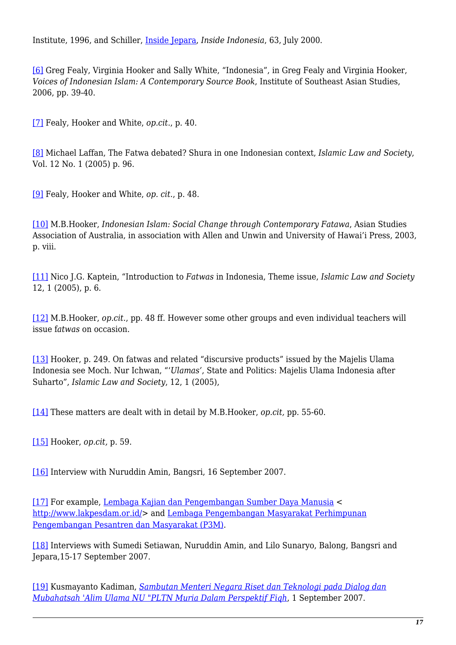Institute, 1996, and Schiller, [Inside Jepara](http://www.insideindonesia.org/edit63/jepara1.htm), *Inside Indonesia*, 63, July 2000.

<span id="page-16-0"></span>[\[6\]](#page-3-0) Greg Fealy, Virginia Hooker and Sally White, "Indonesia", in Greg Fealy and Virginia Hooker, *Voices of Indonesian Islam: A Contemporary Source Book*, Institute of Southeast Asian Studies, 2006, pp. 39-40.

<span id="page-16-1"></span>[\[7\]](#page-3-1) Fealy, Hooker and White, *op.cit*., p. 40.

<span id="page-16-2"></span>[\[8\]](#page-3-2) Michael Laffan, The Fatwa debated? Shura in one Indonesian context, *Islamic Law and Society*, Vol. 12 No. 1 (2005) p. 96.

<span id="page-16-3"></span>[\[9\]](#page-4-0) Fealy, Hooker and White, *op. cit.*, p. 48.

<span id="page-16-4"></span>[\[10\]](#page-4-1) M.B.Hooker, *Indonesian Islam: Social Change through Contemporary Fatawa*, Asian Studies Association of Australia, in association with Allen and Unwin and University of Hawai'i Press, 2003, p. viii.

<span id="page-16-5"></span>[\[11\]](#page-4-2) Nico J.G. Kaptein, "Introduction to *Fatwas* in Indonesia, Theme issue, *Islamic Law and Society* 12, 1 (2005), p. 6.

<span id="page-16-6"></span>[\[12\]](#page-5-0) M.B.Hooker, *op.cit.*, pp. 48 ff. However some other groups and even individual teachers will issue f*atwas* on occasion.

<span id="page-16-7"></span>[\[13\]](#page-5-1) Hooker, p. 249. On fatwas and related "discursive products" issued by the Majelis Ulama Indonesia see Moch. Nur Ichwan, "'*Ulamas'*, State and Politics: Majelis Ulama Indonesia after Suharto", *Islamic Law and Society*, 12, 1 (2005),

<span id="page-16-8"></span>[\[14\]](#page-5-2) These matters are dealt with in detail by M.B.Hooker, *op.cit,* pp. 55-60.

<span id="page-16-9"></span>[\[15\]](#page-5-3) Hooker, *op.cit,* p. 59.

<span id="page-16-10"></span>[\[16\]](#page-6-0) Interview with Nuruddin Amin, Bangsri, 16 September 2007.

<span id="page-16-11"></span>[\[17\]](#page-6-1) For example, [Lembaga Kajian dan Pengembangan Sumber Daya Manusia](http://www.lakpesdam.or.id/) < <http://www.lakpesdam.or.id/>> and [Lembaga Pengembangan Masyarakat Perhimpunan](http://jibis.pnri.go.id/informasi-rujukan/direktori-lembaga-organisasi/thn/2007/bln/01/tgl/30/id/766) [Pengembangan Pesantren dan Masyarakat \(P3M\)](http://jibis.pnri.go.id/informasi-rujukan/direktori-lembaga-organisasi/thn/2007/bln/01/tgl/30/id/766).

<span id="page-16-12"></span>[\[18\]](#page-8-0) Interviews with Sumedi Setiawan, Nuruddin Amin, and Lilo Sunaryo, Balong, Bangsri and Jepara,15-17 September 2007.

<span id="page-16-13"></span>[\[19\]](#page-8-1) Kusmayanto Kadiman, *[Sambutan Menteri Negara Riset dan Teknologi pada Dialog dan](http://www.batan.go.id/tmp_news.php?id_berita=385&db_tbl=Berita) [Mubahatsah 'Alim Ulama NU "PLTN Muria Dalam Perspektif Fiqh](http://www.batan.go.id/tmp_news.php?id_berita=385&db_tbl=Berita)*, 1 September 2007.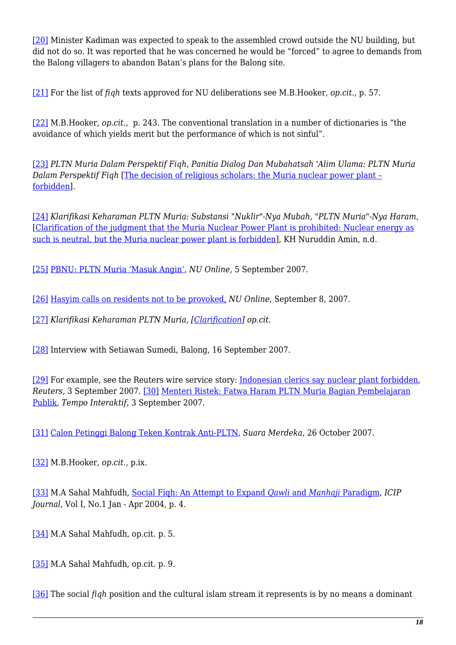<span id="page-17-0"></span>[\[20\]](#page-8-2) Minister Kadiman was expected to speak to the assembled crowd outside the NU building, but did not do so. It was reported that he was concerned he would be "forced" to agree to demands from the Balong villagers to abandon Batan's plans for the Balong site.

<span id="page-17-1"></span>[\[21\]](#page-8-3) For the list of *fiqh* texts approved for NU deliberations see M.B.Hooker, *op.cit.*, p. 57.

<span id="page-17-2"></span>[\[22\]](#page-8-4) M.B.Hooker, *op.cit.*, p. 243. The conventional translation in a number of dictionaries is "the avoidance of which yields merit but the performance of which is not sinful".

<span id="page-17-3"></span>[\[23\]](#page-9-0) *PLTN Muria Dalam Perspektif Fiqh, Panitia Dialog Dan Mubahatsah 'Alim Ulama: PLTN Muria Dalam Perspektif Fiqh* [\[The decision of religious scholars: the Muria nuclear power plant –](https://nautilus.org/projects/holding/reframing/aust-ind-nuclear/ind-np/sites/muria/nuclear-fiqh-materials/documents-english/the-decision-of-religious-scholars-the-muria-nuclear-power-plant-forbidden) [forbidden](https://nautilus.org/projects/holding/reframing/aust-ind-nuclear/ind-np/sites/muria/nuclear-fiqh-materials/documents-english/the-decision-of-religious-scholars-the-muria-nuclear-power-plant-forbidden)].

<span id="page-17-4"></span>[\[24\]](#page-11-0) *Klarifikasi Keharaman PLTN Muria: Substansi "Nuklir"-Nya Mubah, "PLTN Muria"-Nya Haram*, [\[Clarification of the judgment that the Muria Nuclear Power Plant is prohibited: Nuclear energy as](https://nautilus.org/projects/holding/reframing/aust-ind-nuclear/ind-np/sites/muria/nuclear-fiqh-materials/documents-english/clarification-of-the-muria-fatwa-haram-judgment) [such is neutral, but the Muria nuclear power plant is forbidden](https://nautilus.org/projects/holding/reframing/aust-ind-nuclear/ind-np/sites/muria/nuclear-fiqh-materials/documents-english/clarification-of-the-muria-fatwa-haram-judgment)], KH Nuruddin Amin, n.d.

<span id="page-17-5"></span>[\[25\]](#page-11-1) [PBNU: PLTN Muria 'Masuk Angin',](http://www.nu.or.id/page.php?lang=id&menu=news_view&news_id=10188) *NU Online*, 5 September 2007.

<span id="page-17-6"></span>[\[26\]](#page-11-2) [Hasyim calls on residents not to be provoked,](http://www.nu.or.id/page.php?lang=en&menu=news_view&news_id=691) *NU Online*, September 8, 2007.

<span id="page-17-7"></span>[\[27\]](#page-12-0) *Klarifikasi Keharaman PLTN Muria, [\[Clarification\]](https://nautilus.org/projects/holding/reframing/aust-ind-nuclear/ind-np/sites/muria/nuclear-fiqh-materials/documents-english/clarification-of-the-muria-fatwa-haram-judgment) op.cit*.

<span id="page-17-8"></span>[\[28\]](#page-12-1) Interview with Setiawan Sumedi, Balong, 16 September 2007.

<span id="page-17-10"></span><span id="page-17-9"></span>[\[29\]](#page-12-2) For example, see the Reuters wire service story: [Indonesian clerics say nuclear plant forbidden](http://in.reuters.com/article/worldNews/idINIndia-29307620070903), *Reuters*, 3 September 2007. [\[30\]](#page-12-3) [Menteri Ristek: Fatwa Haram PLTN Muria Bagian Pembelajaran](http://www.tempointeraktif.com/hg/nasional/2007/09/03/brk,20070903-106763,id.html) [Publik](http://www.tempointeraktif.com/hg/nasional/2007/09/03/brk,20070903-106763,id.html)*, Tempo Interaktif*, 3 September 2007.

<span id="page-17-11"></span>[\[31\]](#page-12-4) [Calon Petinggi Balong Teken Kontrak Anti-PLTN](http://www.suaramerdeka.com/harian/0710/26/mur05.htm), *Suara Merdeka*, 26 October 2007.

<span id="page-17-12"></span>[\[32\]](#page-13-0) M.B.Hooker, *op.cit*., p.ix.

<span id="page-17-13"></span>[\[33\]](#page-13-1) M.A Sahal Mahfudh, [Social Fiqh: An Attempt to Expand](http://www.icipglobal.org/index.php?option=com_content&task=section&id=4&Itemid=85) *[Qawli](http://www.icipglobal.org/index.php?option=com_content&task=section&id=4&Itemid=85)* [and](http://www.icipglobal.org/index.php?option=com_content&task=section&id=4&Itemid=85) *[Manhaji](http://www.icipglobal.org/index.php?option=com_content&task=section&id=4&Itemid=85)* [Paradigm,](http://www.icipglobal.org/index.php?option=com_content&task=section&id=4&Itemid=85) *ICIP Journal*, Vol I, No.1 Jan - Apr 2004, p. 4.

<span id="page-17-14"></span>[\[34\]](#page-14-0) M.A Sahal Mahfudh, op.cit. p. 5.

<span id="page-17-15"></span>[\[35\]](#page-14-1) M.A Sahal Mahfudh, op.cit. p. 9.

<span id="page-17-16"></span>[\[36\]](#page-14-2) The social *fiqh* position and the cultural islam stream it represents is by no means a dominant